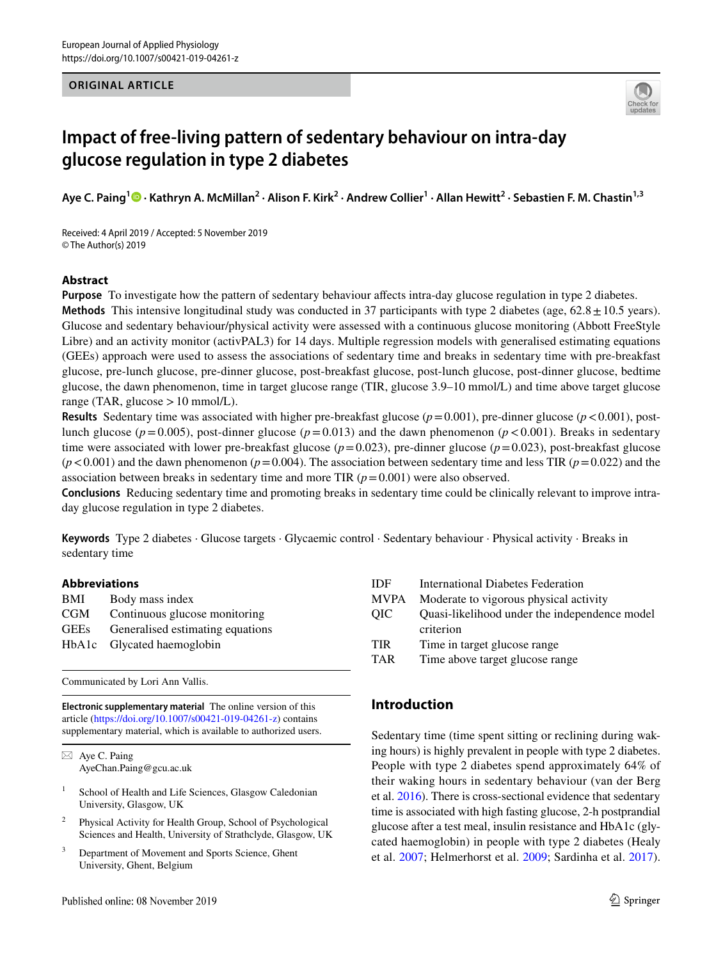### **ORIGINAL ARTICLE**



# **Impact of free‑living pattern of sedentary behaviour on intra‑day glucose regulation in type 2 diabetes**

**Aye C. Paing[1](http://orcid.org/0000-0002-7758-7466) · Kathryn A. McMillan2 · Alison F. Kirk2 · Andrew Collier1 · Allan Hewitt2 · Sebastien F. M. Chastin1,3**

Received: 4 April 2019 / Accepted: 5 November 2019 © The Author(s) 2019

#### **Abstract**

**Purpose** To investigate how the pattern of sedentary behaviour affects intra-day glucose regulation in type 2 diabetes. **Methods** This intensive longitudinal study was conducted in 37 participants with type 2 diabetes (age, 62.8  $\pm$  10.5 years). Glucose and sedentary behaviour/physical activity were assessed with a continuous glucose monitoring (Abbott FreeStyle Libre) and an activity monitor (activPAL3) for 14 days. Multiple regression models with generalised estimating equations (GEEs) approach were used to assess the associations of sedentary time and breaks in sedentary time with pre-breakfast glucose, pre-lunch glucose, pre-dinner glucose, post-breakfast glucose, post-lunch glucose, post-dinner glucose, bedtime glucose, the dawn phenomenon, time in target glucose range (TIR, glucose 3.9–10 mmol/L) and time above target glucose range (TAR, glucose  $>10$  mmol/L).

**Results** Sedentary time was associated with higher pre-breakfast glucose  $(p=0.001)$ , pre-dinner glucose  $(p<0.001)$ , postlunch glucose ( $p=0.005$ ), post-dinner glucose ( $p=0.013$ ) and the dawn phenomenon ( $p < 0.001$ ). Breaks in sedentary time were associated with lower pre-breakfast glucose (*p*=0.023), pre-dinner glucose (*p*=0.023), post-breakfast glucose  $(p<0.001)$  and the dawn phenomenon ( $p=0.004$ ). The association between sedentary time and less TIR ( $p=0.022$ ) and the association between breaks in sedentary time and more TIR  $(p=0.001)$  were also observed.

**Conclusions** Reducing sedentary time and promoting breaks in sedentary time could be clinically relevant to improve intraday glucose regulation in type 2 diabetes.

**Keywords** Type 2 diabetes · Glucose targets · Glycaemic control · Sedentary behaviour · Physical activity · Breaks in sedentary time

#### **Abbreviations**

| BMI         | Body mass index                  |
|-------------|----------------------------------|
| CGM         | Continuous glucose monitoring    |
| <b>GEEs</b> | Generalised estimating equations |
|             | HbA1c Glycated haemoglobin       |
|             |                                  |

Communicated by Lori Ann Vallis.

**Electronic supplementary material** The online version of this article [\(https://doi.org/10.1007/s00421-019-04261-z](https://doi.org/10.1007/s00421-019-04261-z)) contains supplementary material, which is available to authorized users.

 $\boxtimes$  Aye C. Paing AyeChan.Paing@gcu.ac.uk

- <sup>1</sup> School of Health and Life Sciences, Glasgow Caledonian University, Glasgow, UK
- <sup>2</sup> Physical Activity for Health Group, School of Psychological Sciences and Health, University of Strathclyde, Glasgow, UK
- <sup>3</sup> Department of Movement and Sports Science, Ghent University, Ghent, Belgium

| IDF.        | International Diabetes Federation             |
|-------------|-----------------------------------------------|
| <b>MVPA</b> | Moderate to vigorous physical activity        |
| <b>OIC</b>  | Quasi-likelihood under the independence model |
|             | criterion                                     |
| <b>TIR</b>  | Time in target glucose range                  |
| <b>TAR</b>  | Time above target glucose range               |
|             |                                               |

# **Introduction**

Sedentary time (time spent sitting or reclining during waking hours) is highly prevalent in people with type 2 diabetes. People with type 2 diabetes spend approximately 64% of their waking hours in sedentary behaviour (van der Berg et al. [2016](#page-8-0)). There is cross-sectional evidence that sedentary time is associated with high fasting glucose, 2-h postprandial glucose after a test meal, insulin resistance and HbA1c (glycated haemoglobin) in people with type 2 diabetes (Healy et al. [2007](#page-7-0); Helmerhorst et al. [2009](#page-7-1); Sardinha et al. [2017](#page-8-1)).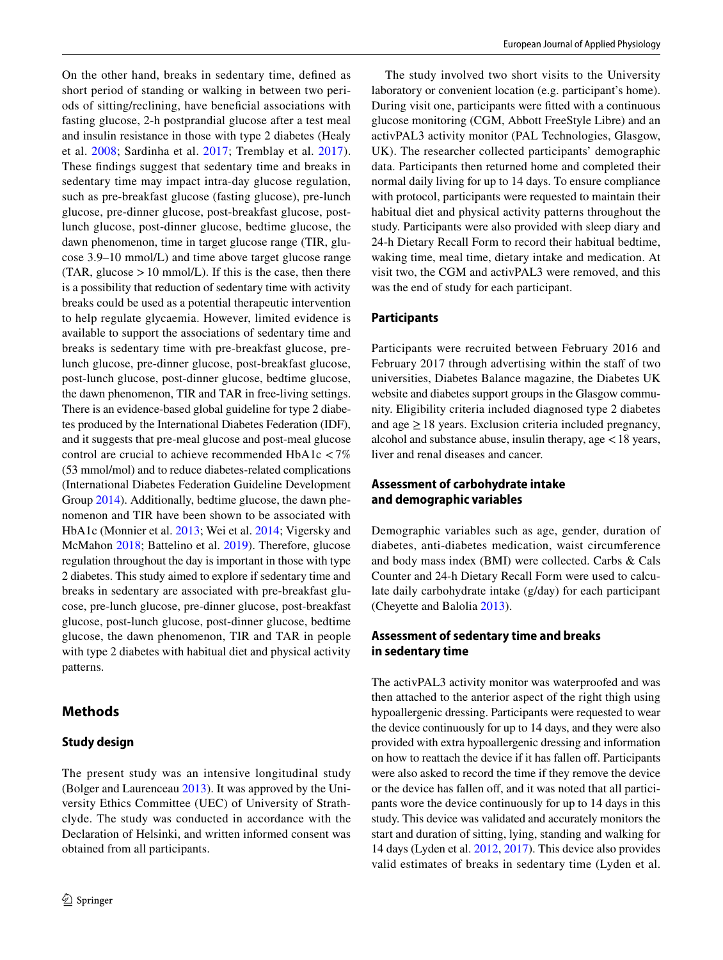On the other hand, breaks in sedentary time, defned as short period of standing or walking in between two periods of sitting/reclining, have benefcial associations with fasting glucose, 2-h postprandial glucose after a test meal and insulin resistance in those with type 2 diabetes (Healy et al. [2008](#page-7-2); Sardinha et al. [2017](#page-8-1); Tremblay et al. [2017](#page-8-2)). These fndings suggest that sedentary time and breaks in sedentary time may impact intra-day glucose regulation, such as pre-breakfast glucose (fasting glucose), pre-lunch glucose, pre-dinner glucose, post-breakfast glucose, postlunch glucose, post-dinner glucose, bedtime glucose, the dawn phenomenon, time in target glucose range (TIR, glucose 3.9–10 mmol/L) and time above target glucose range  $(TAR, glucose > 10 mmol/L)$ . If this is the case, then there is a possibility that reduction of sedentary time with activity breaks could be used as a potential therapeutic intervention to help regulate glycaemia. However, limited evidence is available to support the associations of sedentary time and breaks is sedentary time with pre-breakfast glucose, prelunch glucose, pre-dinner glucose, post-breakfast glucose, post-lunch glucose, post-dinner glucose, bedtime glucose, the dawn phenomenon, TIR and TAR in free-living settings. There is an evidence-based global guideline for type 2 diabetes produced by the International Diabetes Federation (IDF), and it suggests that pre-meal glucose and post-meal glucose control are crucial to achieve recommended HbA1c <7% (53 mmol/mol) and to reduce diabetes-related complications (International Diabetes Federation Guideline Development Group [2014](#page-7-3)). Additionally, bedtime glucose, the dawn phenomenon and TIR have been shown to be associated with HbA1c (Monnier et al. [2013;](#page-7-4) Wei et al. [2014](#page-8-3); Vigersky and McMahon [2018](#page-8-4); Battelino et al. [2019\)](#page-7-5). Therefore, glucose regulation throughout the day is important in those with type 2 diabetes. This study aimed to explore if sedentary time and breaks in sedentary are associated with pre-breakfast glucose, pre-lunch glucose, pre-dinner glucose, post-breakfast glucose, post-lunch glucose, post-dinner glucose, bedtime glucose, the dawn phenomenon, TIR and TAR in people with type 2 diabetes with habitual diet and physical activity patterns.

# **Methods**

# **Study design**

The present study was an intensive longitudinal study (Bolger and Laurenceau [2013](#page-7-6)). It was approved by the University Ethics Committee (UEC) of University of Strathclyde. The study was conducted in accordance with the Declaration of Helsinki, and written informed consent was obtained from all participants.

The study involved two short visits to the University laboratory or convenient location (e.g. participant's home). During visit one, participants were ftted with a continuous glucose monitoring (CGM, Abbott FreeStyle Libre) and an activPAL3 activity monitor (PAL Technologies, Glasgow, UK). The researcher collected participants' demographic data. Participants then returned home and completed their normal daily living for up to 14 days. To ensure compliance with protocol, participants were requested to maintain their habitual diet and physical activity patterns throughout the study. Participants were also provided with sleep diary and 24-h Dietary Recall Form to record their habitual bedtime, waking time, meal time, dietary intake and medication. At visit two, the CGM and activPAL3 were removed, and this was the end of study for each participant.

## **Participants**

Participants were recruited between February 2016 and February 2017 through advertising within the staff of two universities, Diabetes Balance magazine, the Diabetes UK website and diabetes support groups in the Glasgow community. Eligibility criteria included diagnosed type 2 diabetes and age  $\geq$  18 years. Exclusion criteria included pregnancy, alcohol and substance abuse, insulin therapy, age <18 years, liver and renal diseases and cancer.

# **Assessment of carbohydrate intake and demographic variables**

Demographic variables such as age, gender, duration of diabetes, anti-diabetes medication, waist circumference and body mass index (BMI) were collected. Carbs & Cals Counter and 24-h Dietary Recall Form were used to calculate daily carbohydrate intake (g/day) for each participant (Cheyette and Balolia [2013](#page-7-7)).

## **Assessment of sedentary time and breaks in sedentary time**

The activPAL3 activity monitor was waterproofed and was then attached to the anterior aspect of the right thigh using hypoallergenic dressing. Participants were requested to wear the device continuously for up to 14 days, and they were also provided with extra hypoallergenic dressing and information on how to reattach the device if it has fallen off. Participants were also asked to record the time if they remove the device or the device has fallen off, and it was noted that all participants wore the device continuously for up to 14 days in this study. This device was validated and accurately monitors the start and duration of sitting, lying, standing and walking for 14 days (Lyden et al. [2012,](#page-7-8) [2017](#page-7-9)). This device also provides valid estimates of breaks in sedentary time (Lyden et al.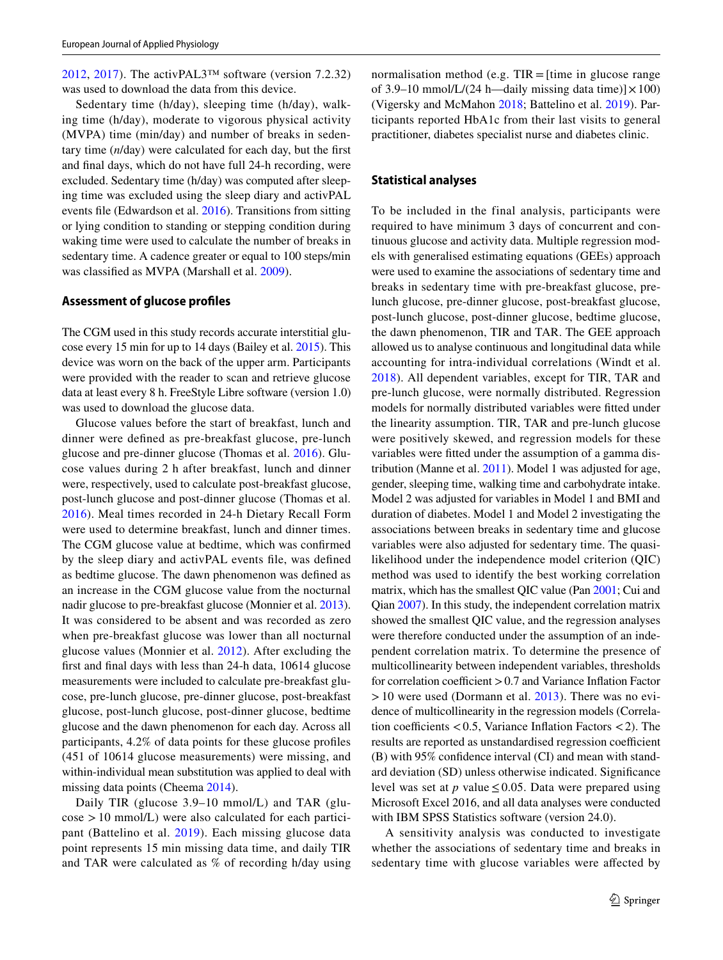[2012,](#page-7-8) [2017](#page-7-9)). The activPAL3<sup>™</sup> software (version 7.2.32) was used to download the data from this device.

Sedentary time (h/day), sleeping time (h/day), walking time (h/day), moderate to vigorous physical activity (MVPA) time (min/day) and number of breaks in sedentary time (*n*/day) were calculated for each day, but the frst and fnal days, which do not have full 24-h recording, were excluded. Sedentary time (h/day) was computed after sleeping time was excluded using the sleep diary and activPAL events fle (Edwardson et al. [2016](#page-7-10)). Transitions from sitting or lying condition to standing or stepping condition during waking time were used to calculate the number of breaks in sedentary time. A cadence greater or equal to 100 steps/min was classifed as MVPA (Marshall et al. [2009\)](#page-7-11).

#### **Assessment of glucose profles**

The CGM used in this study records accurate interstitial glucose every 15 min for up to 14 days (Bailey et al. [2015\)](#page-6-0). This device was worn on the back of the upper arm. Participants were provided with the reader to scan and retrieve glucose data at least every 8 h. FreeStyle Libre software (version 1.0) was used to download the glucose data.

Glucose values before the start of breakfast, lunch and dinner were defned as pre-breakfast glucose, pre-lunch glucose and pre-dinner glucose (Thomas et al. [2016\)](#page-8-5). Glucose values during 2 h after breakfast, lunch and dinner were, respectively, used to calculate post-breakfast glucose, post-lunch glucose and post-dinner glucose (Thomas et al. [2016\)](#page-8-5). Meal times recorded in 24-h Dietary Recall Form were used to determine breakfast, lunch and dinner times. The CGM glucose value at bedtime, which was confrmed by the sleep diary and activPAL events fle, was defned as bedtime glucose. The dawn phenomenon was defned as an increase in the CGM glucose value from the nocturnal nadir glucose to pre-breakfast glucose (Monnier et al. [2013](#page-7-4)). It was considered to be absent and was recorded as zero when pre-breakfast glucose was lower than all nocturnal glucose values (Monnier et al. [2012\)](#page-7-12). After excluding the frst and fnal days with less than 24-h data, 10614 glucose measurements were included to calculate pre-breakfast glucose, pre-lunch glucose, pre-dinner glucose, post-breakfast glucose, post-lunch glucose, post-dinner glucose, bedtime glucose and the dawn phenomenon for each day. Across all participants, 4.2% of data points for these glucose profles (451 of 10614 glucose measurements) were missing, and within-individual mean substitution was applied to deal with missing data points (Cheema [2014\)](#page-7-13).

Daily TIR (glucose 3.9–10 mmol/L) and TAR (glu- $\cos\theta > 10$  mmol/L) were also calculated for each participant (Battelino et al. [2019\)](#page-7-5). Each missing glucose data point represents 15 min missing data time, and daily TIR and TAR were calculated as % of recording h/day using

#### **Statistical analyses**

To be included in the final analysis, participants were required to have minimum 3 days of concurrent and continuous glucose and activity data. Multiple regression models with generalised estimating equations (GEEs) approach were used to examine the associations of sedentary time and breaks in sedentary time with pre-breakfast glucose, prelunch glucose, pre-dinner glucose, post-breakfast glucose, post-lunch glucose, post-dinner glucose, bedtime glucose, the dawn phenomenon, TIR and TAR. The GEE approach allowed us to analyse continuous and longitudinal data while accounting for intra-individual correlations (Windt et al. [2018\)](#page-8-6). All dependent variables, except for TIR, TAR and pre-lunch glucose, were normally distributed. Regression models for normally distributed variables were ftted under the linearity assumption. TIR, TAR and pre-lunch glucose were positively skewed, and regression models for these variables were ftted under the assumption of a gamma distribution (Manne et al. [2011\)](#page-7-14). Model 1 was adjusted for age, gender, sleeping time, walking time and carbohydrate intake. Model 2 was adjusted for variables in Model 1 and BMI and duration of diabetes. Model 1 and Model 2 investigating the associations between breaks in sedentary time and glucose variables were also adjusted for sedentary time. The quasilikelihood under the independence model criterion (QIC) method was used to identify the best working correlation matrix, which has the smallest QIC value (Pan [2001;](#page-8-7) Cui and Qian [2007](#page-7-15)). In this study, the independent correlation matrix showed the smallest QIC value, and the regression analyses were therefore conducted under the assumption of an independent correlation matrix. To determine the presence of multicollinearity between independent variables, thresholds for correlation coefficient  $> 0.7$  and Variance Inflation Factor  $>10$  were used (Dormann et al. [2013](#page-7-16)). There was no evidence of multicollinearity in the regression models (Correlation coefficients  $< 0.5$ , Variance Inflation Factors  $< 2$ ). The results are reported as unstandardised regression coefficient (B) with 95% confdence interval (CI) and mean with standard deviation (SD) unless otherwise indicated. Signifcance level was set at  $p$  value  $\leq 0.05$ . Data were prepared using Microsoft Excel 2016, and all data analyses were conducted with IBM SPSS Statistics software (version 24.0).

A sensitivity analysis was conducted to investigate whether the associations of sedentary time and breaks in sedentary time with glucose variables were afected by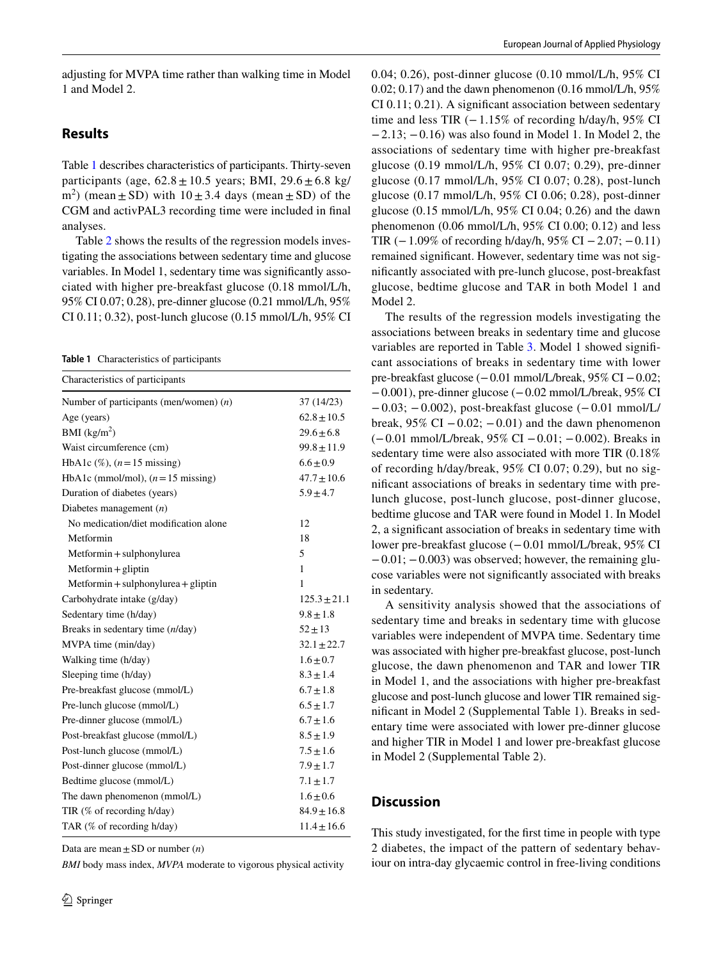adjusting for MVPA time rather than walking time in Model 1 and Model 2.

# **Results**

Table [1](#page-3-0) describes characteristics of participants. Thirty-seven participants (age,  $62.8 \pm 10.5$  years; BMI,  $29.6 \pm 6.8$  kg/  $(m<sup>2</sup>)$  (mean  $\pm$  SD) with  $10 \pm 3.4$  days (mean  $\pm$  SD) of the CGM and activPAL3 recording time were included in fnal analyses.

Table [2](#page-4-0) shows the results of the regression models investigating the associations between sedentary time and glucose variables. In Model 1, sedentary time was signifcantly associated with higher pre-breakfast glucose (0.18 mmol/L/h, 95% CI 0.07; 0.28), pre-dinner glucose (0.21 mmol/L/h, 95% CI 0.11; 0.32), post-lunch glucose (0.15 mmol/L/h, 95% CI

<span id="page-3-0"></span>**Table 1** Characteristics of participants

| Characteristics of participants            |                  |  |  |  |
|--------------------------------------------|------------------|--|--|--|
| Number of participants (men/women) $(n)$   | 37 (14/23)       |  |  |  |
| Age (years)                                | $62.8 \pm 10.5$  |  |  |  |
| BMI $(kg/m2)$                              | $29.6 \pm 6.8$   |  |  |  |
| Waist circumference (cm)                   | $99.8 \pm 11.9$  |  |  |  |
| HbA1c $(\%)$ , $(n=15$ missing)            | $6.6 \pm 0.9$    |  |  |  |
| HbA1c (mmol/mol), $(n=15 \text{ missing})$ | $47.7 \pm 10.6$  |  |  |  |
| Duration of diabetes (years)               | $5.9 \pm 4.7$    |  |  |  |
| Diabetes management $(n)$                  |                  |  |  |  |
| No medication/diet modification alone      | 12               |  |  |  |
| Metformin                                  | 18               |  |  |  |
| Metformin + sulphonylurea                  | 5                |  |  |  |
| $Mefformin + gliptin$                      | $\mathbf{1}$     |  |  |  |
| Metformin + sulphonylurea + gliptin        | 1                |  |  |  |
| Carbohydrate intake (g/day)                | $125.3 \pm 21.1$ |  |  |  |
| Sedentary time (h/day)                     | $9.8 \pm 1.8$    |  |  |  |
| Breaks in sedentary time (n/day)           | $52 \pm 13$      |  |  |  |
| MVPA time (min/day)                        | $32.1 \pm 22.7$  |  |  |  |
| Walking time (h/day)                       | $1.6 \pm 0.7$    |  |  |  |
| Sleeping time (h/day)                      | $8.3 \pm 1.4$    |  |  |  |
| Pre-breakfast glucose (mmol/L)             | $6.7 \pm 1.8$    |  |  |  |
| Pre-lunch glucose (mmol/L)                 | $6.5 \pm 1.7$    |  |  |  |
| Pre-dinner glucose (mmol/L)                | $6.7 \pm 1.6$    |  |  |  |
| Post-breakfast glucose (mmol/L)            | $8.5 \pm 1.9$    |  |  |  |
| Post-lunch glucose (mmol/L)                | $7.5 \pm 1.6$    |  |  |  |
| Post-dinner glucose (mmol/L)               | $7.9 \pm 1.7$    |  |  |  |
| Bedtime glucose (mmol/L)                   | $7.1 \pm 1.7$    |  |  |  |
| The dawn phenomenon (mmol/L)               | $1.6 \pm 0.6$    |  |  |  |
| TIR (% of recording h/day)                 | $84.9 \pm 16.8$  |  |  |  |
| TAR (% of recording h/day)                 | $11.4 \pm 16.6$  |  |  |  |

Data are mean  $\pm$  SD or number  $(n)$ 

*BMI* body mass index, *MVPA* moderate to vigorous physical activity

0.04; 0.26), post-dinner glucose (0.10 mmol/L/h, 95% CI  $0.02; 0.17$  and the dawn phenomenon  $(0.16 \text{ mmol/L/h}, 95\%$ CI 0.11; 0.21). A signifcant association between sedentary time and less TIR  $(-1.15\%$  of recording h/day/h, 95% CI −2.13; −0.16) was also found in Model 1. In Model 2, the associations of sedentary time with higher pre-breakfast glucose (0.19 mmol/L/h, 95% CI 0.07; 0.29), pre-dinner glucose (0.17 mmol/L/h, 95% CI 0.07; 0.28), post-lunch glucose (0.17 mmol/L/h, 95% CI 0.06; 0.28), post-dinner glucose (0.15 mmol/L/h, 95% CI 0.04; 0.26) and the dawn phenomenon (0.06 mmol/L/h, 95% CI 0.00; 0.12) and less TIR  $(-1.09\%$  of recording h/day/h, 95% CI  $-2.07$ ;  $-0.11$ ) remained signifcant. However, sedentary time was not signifcantly associated with pre-lunch glucose, post-breakfast glucose, bedtime glucose and TAR in both Model 1 and Model 2.

The results of the regression models investigating the associations between breaks in sedentary time and glucose variables are reported in Table [3](#page-5-0). Model 1 showed signifcant associations of breaks in sedentary time with lower pre-breakfast glucose (−0.01 mmol/L/break, 95% CI −0.02; −0.001), pre-dinner glucose (−0.02 mmol/L/break, 95% CI −0.03; −0.002), post-breakfast glucose (−0.01 mmol/L/ break,  $95\%$  CI  $-0.02$ ;  $-0.01$ ) and the dawn phenomenon (−0.01 mmol/L/break, 95% CI −0.01; −0.002). Breaks in sedentary time were also associated with more TIR (0.18% of recording h/day/break, 95% CI 0.07; 0.29), but no signifcant associations of breaks in sedentary time with prelunch glucose, post-lunch glucose, post-dinner glucose, bedtime glucose and TAR were found in Model 1. In Model 2, a signifcant association of breaks in sedentary time with lower pre-breakfast glucose (−0.01 mmol/L/break, 95% CI  $-0.01$ ;  $-0.003$ ) was observed; however, the remaining glucose variables were not signifcantly associated with breaks in sedentary.

A sensitivity analysis showed that the associations of sedentary time and breaks in sedentary time with glucose variables were independent of MVPA time. Sedentary time was associated with higher pre-breakfast glucose, post-lunch glucose, the dawn phenomenon and TAR and lower TIR in Model 1, and the associations with higher pre-breakfast glucose and post-lunch glucose and lower TIR remained signifcant in Model 2 (Supplemental Table 1). Breaks in sedentary time were associated with lower pre-dinner glucose and higher TIR in Model 1 and lower pre-breakfast glucose in Model 2 (Supplemental Table 2).

## **Discussion**

This study investigated, for the frst time in people with type 2 diabetes, the impact of the pattern of sedentary behaviour on intra-day glycaemic control in free-living conditions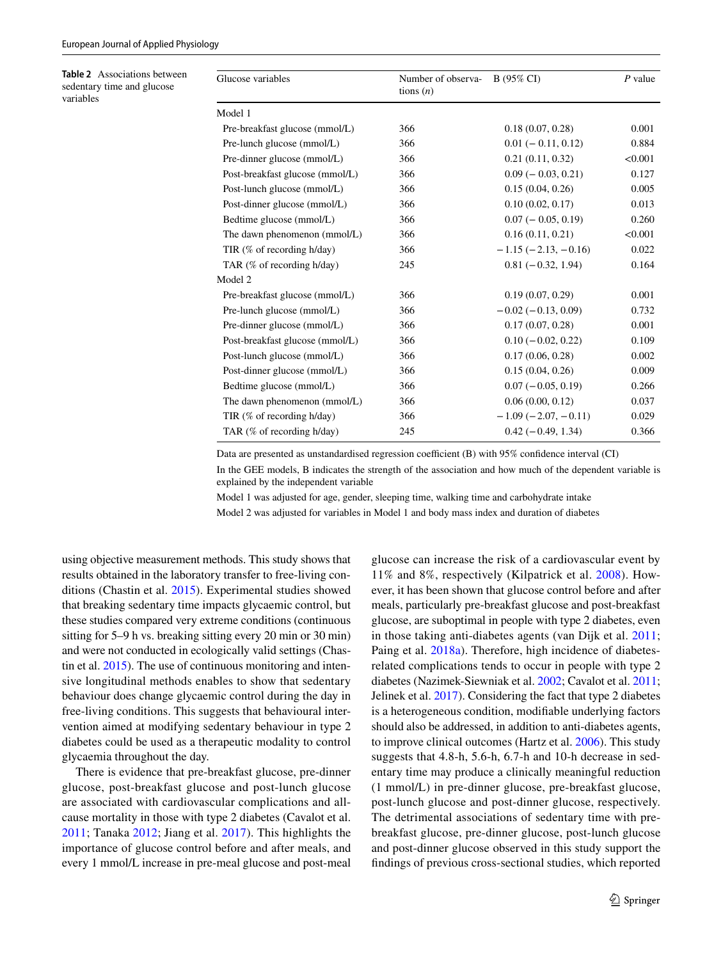<span id="page-4-0"></span>**Table 2** Associations between sedentary time and glucose variables

| Number of observa-<br>tions $(n)$ | B (95% CI)               | $P$ value |
|-----------------------------------|--------------------------|-----------|
|                                   |                          |           |
| 366                               | 0.18(0.07, 0.28)         | 0.001     |
| 366                               | $0.01 (-0.11, 0.12)$     | 0.884     |
| 366                               | 0.21(0.11, 0.32)         | < 0.001   |
| 366                               | $0.09$ ( $-0.03, 0.21$ ) | 0.127     |
| 366                               | 0.15(0.04, 0.26)         | 0.005     |
| 366                               | 0.10(0.02, 0.17)         | 0.013     |
| 366                               | $0.07 (-0.05, 0.19)$     | 0.260     |
| 366                               | 0.16(0.11, 0.21)         | < 0.001   |
| 366                               | $-1.15(-2.13, -0.16)$    | 0.022     |
| 245                               | $0.81(-0.32, 1.94)$      | 0.164     |
|                                   |                          |           |
| 366                               | 0.19(0.07, 0.29)         | 0.001     |
| 366                               | $-0.02(-0.13, 0.09)$     | 0.732     |
| 366                               | 0.17(0.07, 0.28)         | 0.001     |
| 366                               | $0.10 (-0.02, 0.22)$     | 0.109     |
| 366                               | 0.17(0.06, 0.28)         | 0.002     |
| 366                               | 0.15(0.04, 0.26)         | 0.009     |
| 366                               | $0.07(-0.05, 0.19)$      | 0.266     |
| 366                               | 0.06(0.00, 0.12)         | 0.037     |
| 366                               | $-1.09(-2.07, -0.11)$    | 0.029     |
| 245                               | $0.42 (-0.49, 1.34)$     | 0.366     |
|                                   |                          |           |

Data are presented as unstandardised regression coefficient  $(B)$  with 95% confidence interval  $(CI)$ 

In the GEE models, B indicates the strength of the association and how much of the dependent variable is explained by the independent variable

Model 1 was adjusted for age, gender, sleeping time, walking time and carbohydrate intake

Model 2 was adjusted for variables in Model 1 and body mass index and duration of diabetes

using objective measurement methods. This study shows that results obtained in the laboratory transfer to free-living conditions (Chastin et al. [2015](#page-7-17)). Experimental studies showed that breaking sedentary time impacts glycaemic control, but these studies compared very extreme conditions (continuous sitting for 5–9 h vs. breaking sitting every 20 min or 30 min) and were not conducted in ecologically valid settings (Chastin et al. [2015\)](#page-7-17). The use of continuous monitoring and intensive longitudinal methods enables to show that sedentary behaviour does change glycaemic control during the day in free-living conditions. This suggests that behavioural intervention aimed at modifying sedentary behaviour in type 2 diabetes could be used as a therapeutic modality to control glycaemia throughout the day.

There is evidence that pre-breakfast glucose, pre-dinner glucose, post-breakfast glucose and post-lunch glucose are associated with cardiovascular complications and allcause mortality in those with type 2 diabetes (Cavalot et al. [2011](#page-7-18); Tanaka [2012;](#page-8-8) Jiang et al. [2017](#page-7-19)). This highlights the importance of glucose control before and after meals, and every 1 mmol/L increase in pre-meal glucose and post-meal

glucose can increase the risk of a cardiovascular event by 11% and 8%, respectively (Kilpatrick et al. [2008\)](#page-7-20). However, it has been shown that glucose control before and after meals, particularly pre-breakfast glucose and post-breakfast glucose, are suboptimal in people with type 2 diabetes, even in those taking anti-diabetes agents (van Dijk et al. [2011](#page-8-9); Paing et al. [2018a\)](#page-8-10). Therefore, high incidence of diabetesrelated complications tends to occur in people with type 2 diabetes (Nazimek-Siewniak et al. [2002;](#page-8-11) Cavalot et al. [2011](#page-7-18); Jelinek et al. [2017\)](#page-7-21). Considering the fact that type 2 diabetes is a heterogeneous condition, modifable underlying factors should also be addressed, in addition to anti-diabetes agents, to improve clinical outcomes (Hartz et al. [2006](#page-7-22)). This study suggests that 4.8-h, 5.6-h, 6.7-h and 10-h decrease in sedentary time may produce a clinically meaningful reduction (1 mmol/L) in pre-dinner glucose, pre-breakfast glucose, post-lunch glucose and post-dinner glucose, respectively. The detrimental associations of sedentary time with prebreakfast glucose, pre-dinner glucose, post-lunch glucose and post-dinner glucose observed in this study support the fndings of previous cross-sectional studies, which reported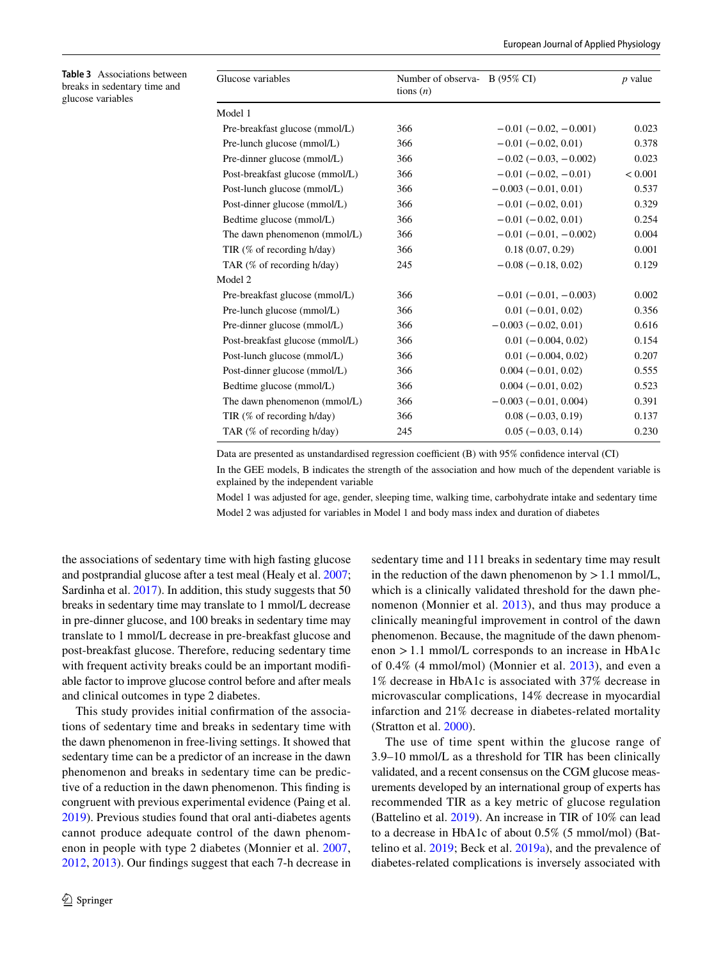<span id="page-5-0"></span>

| Table 3 Associations between |
|------------------------------|
| breaks in sedentary time and |
| glucose variables            |

| Glucose variables               | Number of observa- B (95% CI)<br>tions $(n)$ |                           | <i>p</i> value |
|---------------------------------|----------------------------------------------|---------------------------|----------------|
| Model 1                         |                                              |                           |                |
| Pre-breakfast glucose (mmol/L)  | 366                                          | $-0.01(-0.02, -0.001)$    | 0.023          |
| Pre-lunch glucose (mmol/L)      | 366                                          | $-0.01(-0.02, 0.01)$      | 0.378          |
| Pre-dinner glucose (mmol/L)     | 366                                          | $-0.02(-0.03, -0.002)$    | 0.023          |
| Post-breakfast glucose (mmol/L) | 366                                          | $-0.01(-0.02, -0.01)$     | < 0.001        |
| Post-lunch glucose (mmol/L)     | 366                                          | $-0.003(-0.01, 0.01)$     | 0.537          |
| Post-dinner glucose (mmol/L)    | 366                                          | $-0.01(-0.02, 0.01)$      | 0.329          |
| Bedtime glucose (mmol/L)        | 366                                          | $-0.01(-0.02, 0.01)$      | 0.254          |
| The dawn phenomenon (mmol/L)    | 366                                          | $-0.01(-0.01, -0.002)$    | 0.004          |
| TIR $(\%$ of recording h/day)   | 366                                          | 0.18(0.07, 0.29)          | 0.001          |
| TAR $(\%$ of recording h/day)   | 245                                          | $-0.08$ ( $-0.18$ , 0.02) | 0.129          |
| Model 2                         |                                              |                           |                |
| Pre-breakfast glucose (mmol/L)  | 366                                          | $-0.01(-0.01, -0.003)$    | 0.002          |
| Pre-lunch glucose (mmol/L)      | 366                                          | $0.01 (-0.01, 0.02)$      | 0.356          |
| Pre-dinner glucose (mmol/L)     | 366                                          | $-0.003(-0.02, 0.01)$     | 0.616          |
| Post-breakfast glucose (mmol/L) | 366                                          | $0.01 (-0.004, 0.02)$     | 0.154          |
| Post-lunch glucose (mmol/L)     | 366                                          | $0.01 (-0.004, 0.02)$     | 0.207          |
| Post-dinner glucose (mmol/L)    | 366                                          | $0.004 (-0.01, 0.02)$     | 0.555          |
| Bedtime glucose (mmol/L)        | 366                                          | $0.004 (-0.01, 0.02)$     | 0.523          |
| The dawn phenomenon (mmol/L)    | 366                                          | $-0.003(-0.01, 0.004)$    | 0.391          |
| TIR (% of recording h/day)      | 366                                          | $0.08 (-0.03, 0.19)$      | 0.137          |
| TAR (% of recording h/day)      | 245                                          | $0.05(-0.03, 0.14)$       | 0.230          |
|                                 |                                              |                           |                |

Data are presented as unstandardised regression coefficient  $(B)$  with 95% confidence interval  $(CI)$ 

In the GEE models, B indicates the strength of the association and how much of the dependent variable is explained by the independent variable

Model 1 was adjusted for age, gender, sleeping time, walking time, carbohydrate intake and sedentary time Model 2 was adjusted for variables in Model 1 and body mass index and duration of diabetes

the associations of sedentary time with high fasting glucose and postprandial glucose after a test meal (Healy et al. [2007](#page-7-0); Sardinha et al. [2017\)](#page-8-1). In addition, this study suggests that 50 breaks in sedentary time may translate to 1 mmol/L decrease in pre-dinner glucose, and 100 breaks in sedentary time may translate to 1 mmol/L decrease in pre-breakfast glucose and post-breakfast glucose. Therefore, reducing sedentary time with frequent activity breaks could be an important modifable factor to improve glucose control before and after meals and clinical outcomes in type 2 diabetes.

This study provides initial confrmation of the associations of sedentary time and breaks in sedentary time with the dawn phenomenon in free-living settings. It showed that sedentary time can be a predictor of an increase in the dawn phenomenon and breaks in sedentary time can be predictive of a reduction in the dawn phenomenon. This fnding is congruent with previous experimental evidence (Paing et al. [2019](#page-8-12)). Previous studies found that oral anti-diabetes agents cannot produce adequate control of the dawn phenomenon in people with type 2 diabetes (Monnier et al. [2007,](#page-7-23) [2012](#page-7-12), [2013](#page-7-4)). Our fndings suggest that each 7-h decrease in

sedentary time and 111 breaks in sedentary time may result in the reduction of the dawn phenomenon by  $> 1.1$  mmol/L, which is a clinically validated threshold for the dawn phenomenon (Monnier et al. [2013\)](#page-7-4), and thus may produce a clinically meaningful improvement in control of the dawn phenomenon. Because, the magnitude of the dawn phenomenon >1.1 mmol/L corresponds to an increase in HbA1c of 0.4% (4 mmol/mol) (Monnier et al. [2013](#page-7-4)), and even a 1% decrease in HbA1c is associated with 37% decrease in microvascular complications, 14% decrease in myocardial infarction and 21% decrease in diabetes-related mortality (Stratton et al. [2000](#page-8-13)).

The use of time spent within the glucose range of 3.9–10 mmol/L as a threshold for TIR has been clinically validated, and a recent consensus on the CGM glucose measurements developed by an international group of experts has recommended TIR as a key metric of glucose regulation (Battelino et al. [2019\)](#page-7-5). An increase in TIR of 10% can lead to a decrease in HbA1c of about 0.5% (5 mmol/mol) (Battelino et al. [2019](#page-7-5); Beck et al. [2019a](#page-7-24)), and the prevalence of diabetes-related complications is inversely associated with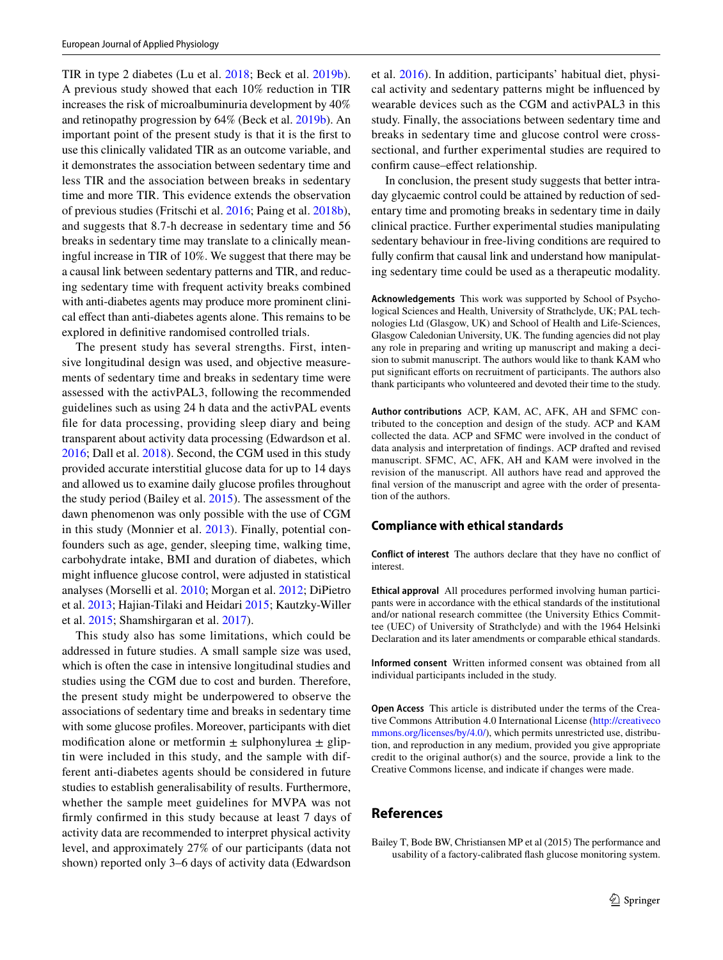TIR in type 2 diabetes (Lu et al. [2018;](#page-7-25) Beck et al. [2019b](#page-7-26)). A previous study showed that each 10% reduction in TIR increases the risk of microalbuminuria development by 40% and retinopathy progression by 64% (Beck et al. [2019b\)](#page-7-26). An important point of the present study is that it is the frst to use this clinically validated TIR as an outcome variable, and it demonstrates the association between sedentary time and less TIR and the association between breaks in sedentary time and more TIR. This evidence extends the observation of previous studies (Fritschi et al. [2016](#page-7-27); Paing et al. [2018b](#page-8-14)), and suggests that 8.7-h decrease in sedentary time and 56 breaks in sedentary time may translate to a clinically meaningful increase in TIR of 10%. We suggest that there may be a causal link between sedentary patterns and TIR, and reducing sedentary time with frequent activity breaks combined with anti-diabetes agents may produce more prominent clinical efect than anti-diabetes agents alone. This remains to be explored in defnitive randomised controlled trials.

The present study has several strengths. First, intensive longitudinal design was used, and objective measurements of sedentary time and breaks in sedentary time were assessed with the activPAL3, following the recommended guidelines such as using 24 h data and the activPAL events fle for data processing, providing sleep diary and being transparent about activity data processing (Edwardson et al. [2016](#page-7-10); Dall et al. [2018](#page-7-28)). Second, the CGM used in this study provided accurate interstitial glucose data for up to 14 days and allowed us to examine daily glucose profles throughout the study period (Bailey et al. [2015](#page-6-0)). The assessment of the dawn phenomenon was only possible with the use of CGM in this study (Monnier et al. [2013\)](#page-7-4). Finally, potential confounders such as age, gender, sleeping time, walking time, carbohydrate intake, BMI and duration of diabetes, which might infuence glucose control, were adjusted in statistical analyses (Morselli et al. [2010](#page-8-15); Morgan et al. [2012;](#page-7-29) DiPietro et al. [2013](#page-7-30); Hajian-Tilaki and Heidari [2015](#page-7-31); Kautzky-Willer et al. [2015](#page-7-32); Shamshirgaran et al. [2017](#page-8-16)).

This study also has some limitations, which could be addressed in future studies. A small sample size was used, which is often the case in intensive longitudinal studies and studies using the CGM due to cost and burden. Therefore, the present study might be underpowered to observe the associations of sedentary time and breaks in sedentary time with some glucose profles. Moreover, participants with diet modification alone or metformin  $\pm$  sulphonylurea  $\pm$  gliptin were included in this study, and the sample with different anti-diabetes agents should be considered in future studies to establish generalisability of results. Furthermore, whether the sample meet guidelines for MVPA was not frmly confrmed in this study because at least 7 days of activity data are recommended to interpret physical activity level, and approximately 27% of our participants (data not shown) reported only 3–6 days of activity data (Edwardson et al. [2016\)](#page-7-10). In addition, participants' habitual diet, physical activity and sedentary patterns might be infuenced by wearable devices such as the CGM and activPAL3 in this study. Finally, the associations between sedentary time and breaks in sedentary time and glucose control were crosssectional, and further experimental studies are required to confrm cause–efect relationship.

In conclusion, the present study suggests that better intraday glycaemic control could be attained by reduction of sedentary time and promoting breaks in sedentary time in daily clinical practice. Further experimental studies manipulating sedentary behaviour in free-living conditions are required to fully confrm that causal link and understand how manipulating sedentary time could be used as a therapeutic modality.

**Acknowledgements** This work was supported by School of Psychological Sciences and Health, University of Strathclyde, UK; PAL technologies Ltd (Glasgow, UK) and School of Health and Life-Sciences, Glasgow Caledonian University, UK. The funding agencies did not play any role in preparing and writing up manuscript and making a decision to submit manuscript. The authors would like to thank KAM who put significant efforts on recruitment of participants. The authors also thank participants who volunteered and devoted their time to the study.

**Author contributions** ACP, KAM, AC, AFK, AH and SFMC contributed to the conception and design of the study. ACP and KAM collected the data. ACP and SFMC were involved in the conduct of data analysis and interpretation of fndings. ACP drafted and revised manuscript. SFMC, AC, AFK, AH and KAM were involved in the revision of the manuscript. All authors have read and approved the fnal version of the manuscript and agree with the order of presentation of the authors.

#### **Compliance with ethical standards**

**Conflict of interest** The authors declare that they have no confict of interest.

**Ethical approval** All procedures performed involving human participants were in accordance with the ethical standards of the institutional and/or national research committee (the University Ethics Committee (UEC) of University of Strathclyde) and with the 1964 Helsinki Declaration and its later amendments or comparable ethical standards.

**Informed consent** Written informed consent was obtained from all individual participants included in the study.

**Open Access** This article is distributed under the terms of the Creative Commons Attribution 4.0 International License ([http://creativeco](http://creativecommons.org/licenses/by/4.0/) [mmons.org/licenses/by/4.0/](http://creativecommons.org/licenses/by/4.0/)), which permits unrestricted use, distribution, and reproduction in any medium, provided you give appropriate credit to the original author(s) and the source, provide a link to the Creative Commons license, and indicate if changes were made.

## **References**

<span id="page-6-0"></span>Bailey T, Bode BW, Christiansen MP et al (2015) The performance and usability of a factory-calibrated fash glucose monitoring system.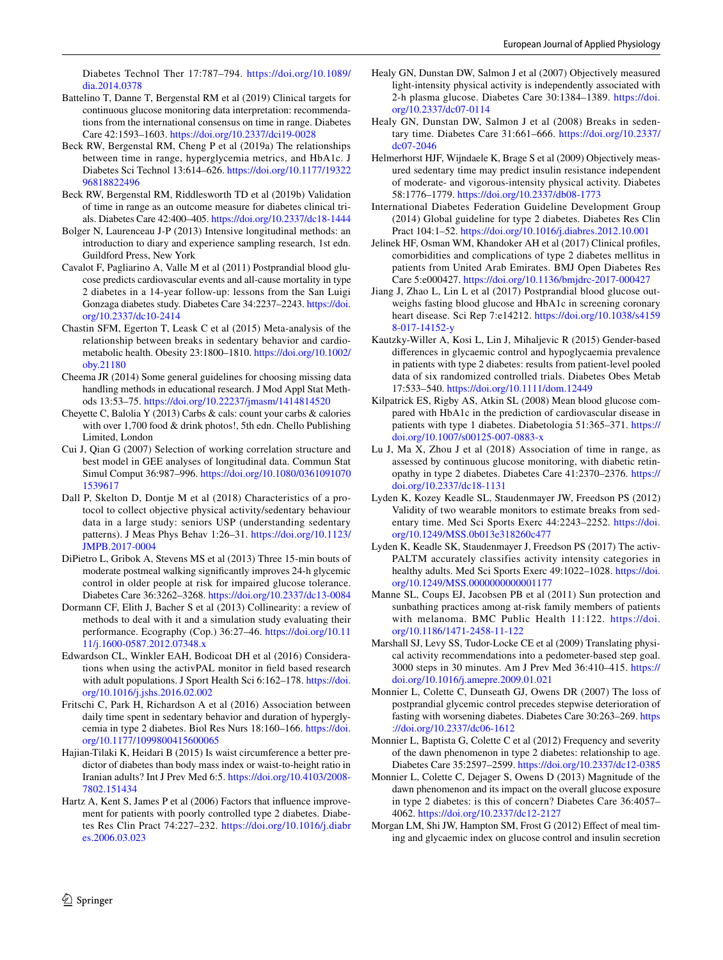Diabetes Technol Ther 17:787–794. [https://doi.org/10.1089/](https://doi.org/10.1089/dia.2014.0378) [dia.2014.0378](https://doi.org/10.1089/dia.2014.0378)

- <span id="page-7-5"></span>Battelino T, Danne T, Bergenstal RM et al (2019) Clinical targets for continuous glucose monitoring data interpretation: recommendations from the international consensus on time in range. Diabetes Care 42:1593–1603.<https://doi.org/10.2337/dci19-0028>
- <span id="page-7-24"></span>Beck RW, Bergenstal RM, Cheng P et al (2019a) The relationships between time in range, hyperglycemia metrics, and HbA1c. J Diabetes Sci Technol 13:614–626. [https://doi.org/10.1177/19322](https://doi.org/10.1177/1932296818822496) [96818822496](https://doi.org/10.1177/1932296818822496)
- <span id="page-7-26"></span>Beck RW, Bergenstal RM, Riddlesworth TD et al (2019b) Validation of time in range as an outcome measure for diabetes clinical trials. Diabetes Care 42:400–405.<https://doi.org/10.2337/dc18-1444>
- <span id="page-7-6"></span>Bolger N, Laurenceau J-P (2013) Intensive longitudinal methods: an introduction to diary and experience sampling research, 1st edn. Guildford Press, New York
- <span id="page-7-18"></span>Cavalot F, Pagliarino A, Valle M et al (2011) Postprandial blood glucose predicts cardiovascular events and all-cause mortality in type 2 diabetes in a 14-year follow-up: lessons from the San Luigi Gonzaga diabetes study. Diabetes Care 34:2237–2243. [https://doi.](https://doi.org/10.2337/dc10-2414) [org/10.2337/dc10-2414](https://doi.org/10.2337/dc10-2414)
- <span id="page-7-17"></span>Chastin SFM, Egerton T, Leask C et al (2015) Meta-analysis of the relationship between breaks in sedentary behavior and cardiometabolic health. Obesity 23:1800–1810. [https://doi.org/10.1002/](https://doi.org/10.1002/oby.21180) [oby.21180](https://doi.org/10.1002/oby.21180)
- <span id="page-7-13"></span>Cheema JR (2014) Some general guidelines for choosing missing data handling methods in educational research. J Mod Appl Stat Methods 13:53–75. <https://doi.org/10.22237/jmasm/1414814520>
- <span id="page-7-7"></span>Cheyette C, Balolia Y (2013) Carbs & cals: count your carbs & calories with over 1,700 food & drink photos!, 5th edn. Chello Publishing Limited, London
- <span id="page-7-15"></span>Cui J, Qian G (2007) Selection of working correlation structure and best model in GEE analyses of longitudinal data. Commun Stat Simul Comput 36:987–996. [https://doi.org/10.1080/0361091070](https://doi.org/10.1080/03610910701539617) [1539617](https://doi.org/10.1080/03610910701539617)
- <span id="page-7-28"></span>Dall P, Skelton D, Dontje M et al (2018) Characteristics of a protocol to collect objective physical activity/sedentary behaviour data in a large study: seniors USP (understanding sedentary patterns). J Meas Phys Behav 1:26–31. [https://doi.org/10.1123/](https://doi.org/10.1123/JMPB.2017-0004) [JMPB.2017-0004](https://doi.org/10.1123/JMPB.2017-0004)
- <span id="page-7-30"></span>DiPietro L, Gribok A, Stevens MS et al (2013) Three 15-min bouts of moderate postmeal walking signifcantly improves 24-h glycemic control in older people at risk for impaired glucose tolerance. Diabetes Care 36:3262–3268. <https://doi.org/10.2337/dc13-0084>
- <span id="page-7-16"></span>Dormann CF, Elith J, Bacher S et al (2013) Collinearity: a review of methods to deal with it and a simulation study evaluating their performance. Ecography (Cop.) 36:27–46. [https://doi.org/10.11](https://doi.org/10.1111/j.1600-0587.2012.07348.x) [11/j.1600-0587.2012.07348.x](https://doi.org/10.1111/j.1600-0587.2012.07348.x)
- <span id="page-7-10"></span>Edwardson CL, Winkler EAH, Bodicoat DH et al (2016) Considerations when using the activPAL monitor in feld based research with adult populations. J Sport Health Sci 6:162-178. [https://doi.](https://doi.org/10.1016/j.jshs.2016.02.002) [org/10.1016/j.jshs.2016.02.002](https://doi.org/10.1016/j.jshs.2016.02.002)
- <span id="page-7-27"></span>Fritschi C, Park H, Richardson A et al (2016) Association between daily time spent in sedentary behavior and duration of hyperglycemia in type 2 diabetes. Biol Res Nurs 18:160–166. [https://doi.](https://doi.org/10.1177/1099800415600065) [org/10.1177/1099800415600065](https://doi.org/10.1177/1099800415600065)
- <span id="page-7-31"></span>Hajian-Tilaki K, Heidari B (2015) Is waist circumference a better predictor of diabetes than body mass index or waist-to-height ratio in Iranian adults? Int J Prev Med 6:5. [https://doi.org/10.4103/2008-](https://doi.org/10.4103/2008-7802.151434) [7802.151434](https://doi.org/10.4103/2008-7802.151434)
- <span id="page-7-22"></span>Hartz A, Kent S, James P et al (2006) Factors that infuence improvement for patients with poorly controlled type 2 diabetes. Diabetes Res Clin Pract 74:227–232. [https://doi.org/10.1016/j.diabr](https://doi.org/10.1016/j.diabres.2006.03.023) [es.2006.03.023](https://doi.org/10.1016/j.diabres.2006.03.023)
- <span id="page-7-0"></span>Healy GN, Dunstan DW, Salmon J et al (2007) Objectively measured light-intensity physical activity is independently associated with 2-h plasma glucose. Diabetes Care 30:1384–1389. [https://doi.](https://doi.org/10.2337/dc07-0114) [org/10.2337/dc07-0114](https://doi.org/10.2337/dc07-0114)
- <span id="page-7-2"></span>Healy GN, Dunstan DW, Salmon J et al (2008) Breaks in sedentary time. Diabetes Care 31:661–666. [https://doi.org/10.2337/](https://doi.org/10.2337/dc07-2046) [dc07-2046](https://doi.org/10.2337/dc07-2046)
- <span id="page-7-1"></span>Helmerhorst HJF, Wijndaele K, Brage S et al (2009) Objectively measured sedentary time may predict insulin resistance independent of moderate- and vigorous-intensity physical activity. Diabetes 58:1776–1779.<https://doi.org/10.2337/db08-1773>
- <span id="page-7-3"></span>International Diabetes Federation Guideline Development Group (2014) Global guideline for type 2 diabetes. Diabetes Res Clin Pract 104:1–52. <https://doi.org/10.1016/j.diabres.2012.10.001>
- <span id="page-7-21"></span>Jelinek HF, Osman WM, Khandoker AH et al (2017) Clinical profles, comorbidities and complications of type 2 diabetes mellitus in patients from United Arab Emirates. BMJ Open Diabetes Res Care 5:e000427. <https://doi.org/10.1136/bmjdrc-2017-000427>
- <span id="page-7-19"></span>Jiang J, Zhao L, Lin L et al (2017) Postprandial blood glucose outweighs fasting blood glucose and HbA1c in screening coronary heart disease. Sci Rep 7:e14212. [https://doi.org/10.1038/s4159](https://doi.org/10.1038/s41598-017-14152-y) [8-017-14152-y](https://doi.org/10.1038/s41598-017-14152-y)
- <span id="page-7-32"></span>Kautzky-Willer A, Kosi L, Lin J, Mihaljevic R (2015) Gender-based diferences in glycaemic control and hypoglycaemia prevalence in patients with type 2 diabetes: results from patient-level pooled data of six randomized controlled trials. Diabetes Obes Metab 17:533–540.<https://doi.org/10.1111/dom.12449>
- <span id="page-7-20"></span>Kilpatrick ES, Rigby AS, Atkin SL (2008) Mean blood glucose compared with HbA1c in the prediction of cardiovascular disease in patients with type 1 diabetes. Diabetologia 51:365–371. [https://](https://doi.org/10.1007/s00125-007-0883-x) [doi.org/10.1007/s00125-007-0883-x](https://doi.org/10.1007/s00125-007-0883-x)
- <span id="page-7-25"></span>Lu J, Ma X, Zhou J et al (2018) Association of time in range, as assessed by continuous glucose monitoring, with diabetic retinopathy in type 2 diabetes. Diabetes Care 41:2370–2376. [https://](https://doi.org/10.2337/dc18-1131) [doi.org/10.2337/dc18-1131](https://doi.org/10.2337/dc18-1131)
- <span id="page-7-8"></span>Lyden K, Kozey Keadle SL, Staudenmayer JW, Freedson PS (2012) Validity of two wearable monitors to estimate breaks from sedentary time. Med Sci Sports Exerc 44:2243–2252. [https://doi.](https://doi.org/10.1249/MSS.0b013e318260c477) [org/10.1249/MSS.0b013e318260c477](https://doi.org/10.1249/MSS.0b013e318260c477)
- <span id="page-7-9"></span>Lyden K, Keadle SK, Staudenmayer J, Freedson PS (2017) The activ-PALTM accurately classifies activity intensity categories in healthy adults. Med Sci Sports Exerc 49:1022-1028. [https://doi.](https://doi.org/10.1249/MSS.0000000000001177) [org/10.1249/MSS.0000000000001177](https://doi.org/10.1249/MSS.0000000000001177)
- <span id="page-7-14"></span>Manne SL, Coups EJ, Jacobsen PB et al (2011) Sun protection and sunbathing practices among at-risk family members of patients with melanoma. BMC Public Health 11:122. [https://doi.](https://doi.org/10.1186/1471-2458-11-122) [org/10.1186/1471-2458-11-122](https://doi.org/10.1186/1471-2458-11-122)
- <span id="page-7-11"></span>Marshall SJ, Levy SS, Tudor-Locke CE et al (2009) Translating physical activity recommendations into a pedometer-based step goal. 3000 steps in 30 minutes. Am J Prev Med 36:410–415. [https://](https://doi.org/10.1016/j.amepre.2009.01.021) [doi.org/10.1016/j.amepre.2009.01.021](https://doi.org/10.1016/j.amepre.2009.01.021)
- <span id="page-7-23"></span>Monnier L, Colette C, Dunseath GJ, Owens DR (2007) The loss of postprandial glycemic control precedes stepwise deterioration of fasting with worsening diabetes. Diabetes Care 30:263–269. [https](https://doi.org/10.2337/dc06-1612) [://doi.org/10.2337/dc06-1612](https://doi.org/10.2337/dc06-1612)
- <span id="page-7-12"></span>Monnier L, Baptista G, Colette C et al (2012) Frequency and severity of the dawn phenomenon in type 2 diabetes: relationship to age. Diabetes Care 35:2597–2599. <https://doi.org/10.2337/dc12-0385>
- <span id="page-7-4"></span>Monnier L, Colette C, Dejager S, Owens D (2013) Magnitude of the dawn phenomenon and its impact on the overall glucose exposure in type 2 diabetes: is this of concern? Diabetes Care 36:4057– 4062. <https://doi.org/10.2337/dc12-2127>
- <span id="page-7-29"></span>Morgan LM, Shi JW, Hampton SM, Frost G (2012) Efect of meal timing and glycaemic index on glucose control and insulin secretion